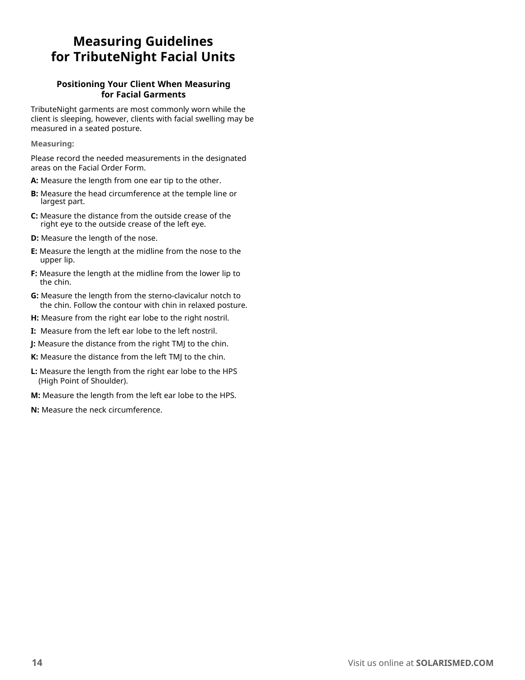## **Measuring Guidelines for TributeNight Facial Units**

## **Positioning Your Client When Measuring for Facial Garments**

TributeNight garments are most commonly worn while the client is sleeping, however, clients with facial swelling may be measured in a seated posture.

**Measuring:**

Please record the needed measurements in the designated areas on the Facial Order Form.

- **A:** Measure the length from one ear tip to the other.
- **B:** Measure the head circumference at the temple line or largest part.
- **C:** Measure the distance from the outside crease of the right eye to the outside crease of the left eye.
- **D:** Measure the length of the nose.
- **E:** Measure the length at the midline from the nose to the upper lip.
- **F:** Measure the length at the midline from the lower lip to the chin.
- **G:** Measure the length from the sterno-clavicalur notch to the chin. Follow the contour with chin in relaxed posture.
- **H:** Measure from the right ear lobe to the right nostril.
- **I:** Measure from the left ear lobe to the left nostril.
- **J:** Measure the distance from the right TMJ to the chin.
- **K:** Measure the distance from the left TMJ to the chin.
- **L:** Measure the length from the right ear lobe to the HPS (High Point of Shoulder).
- **M:** Measure the length from the left ear lobe to the HPS.
- **N:** Measure the neck circumference.